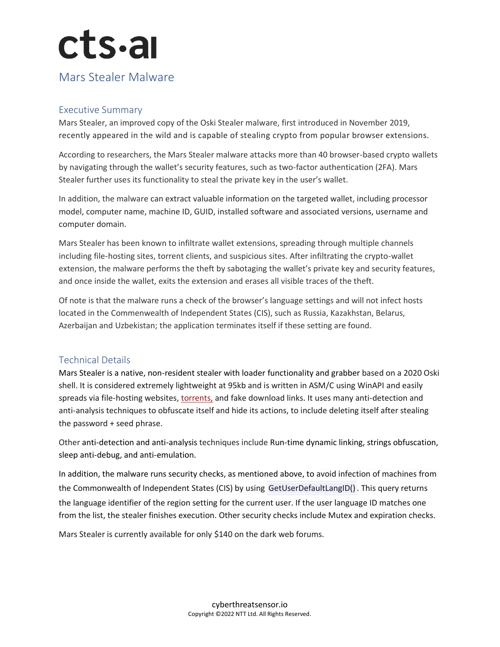# $cts$ -al

### Mars Stealer Malware

#### Executive Summary

Mars Stealer, an improved copy of the Oski Stealer malware, first introduced in November 2019, recently appeared in the wild and is capable of stealing crypto from popular browser extensions.

According to researchers, the Mars Stealer malware attacks more than 40 browser-based crypto wallets by navigating through the wallet's security features, such as two-factor authentication (2FA). Mars Stealer further uses its functionality to steal the private key in the user's wallet.

In addition, the malware can extract valuable information on the targeted wallet, including processor model, computer name, machine ID, GUID, installed software and associated versions, username and computer domain.

Mars Stealer has been known to infiltrate wallet extensions, spreading through multiple channels including file-hosting sites, torrent clients, and suspicious sites. After infiltrating the crypto-wallet extension, the malware performs the theft by sabotaging the wallet's private key and security features, and once inside the wallet, exits the extension and erases all visible traces of the theft.

Of note is that the malware runs a check of the browser's language settings and will not infect hosts located in the Commenwealth of Independent States (CIS), such as Russia, Kazakhstan, Belarus, Azerbaijan and Uzbekistan; the application terminates itself if these setting are found.

#### Technical Details

Mars Stealer is a native, non-resident stealer with loader functionality and grabber based on a 2020 Oski shell. It is considered extremely lightweight at 95kb and is written in ASM/C using WinAPI and easily spreads via file-hosting websites, [torrents,](https://protect-eu.mimecast.com/s/-2GHCO7mzSZ2KBG7cWDIGH?domain=notebookcheck.net) and fake download links. It uses many anti-detection and anti-analysis techniques to obfuscate itself and hide its actions, to include deleting itself after stealing the password + seed phrase.

Other anti-detection and anti-analysis techniques include Run-time dynamic linking, strings obfuscation, sleep anti-debug, and anti-emulation.

In addition, the malware runs security checks, as mentioned above, to avoid infection of machines from the Commonwealth of Independent States (CIS) by using GetUserDefaultLangID() . This query returns the language identifier of the region setting for the current user. If the user language ID matches one from the list, the stealer finishes execution. Other security checks include Mutex and expiration checks.

Mars Stealer is currently available for only \$140 on the dark web forums.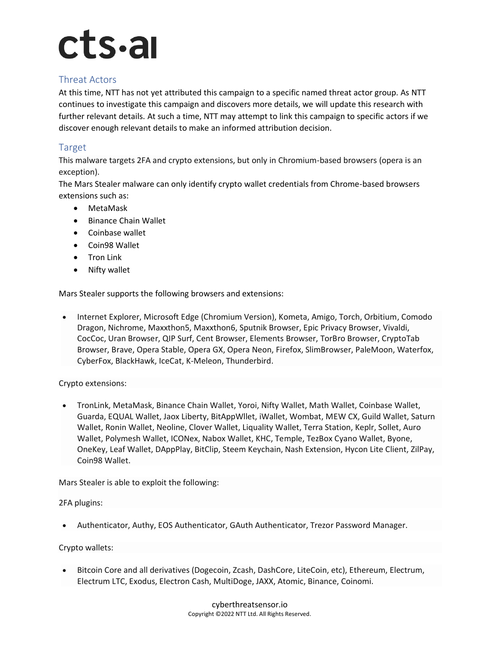### cts.ai

#### Threat Actors

At this time, NTT has not yet attributed this campaign to a specific named threat actor group. As NTT continues to investigate this campaign and discovers more details, we will update this research with further relevant details. At such a time, NTT may attempt to link this campaign to specific actors if we discover enough relevant details to make an informed attribution decision.

#### Target

This malware targets 2FA and crypto extensions, but only in Chromium-based browsers (opera is an exception).

The Mars Stealer malware can only identify crypto wallet credentials from Chrome-based browsers extensions such as:

- MetaMask
- Binance Chain Wallet
- Coinbase wallet
- Coin98 Wallet
- Tron Link
- Nifty wallet

Mars Stealer supports the following browsers and extensions:

• Internet Explorer, Microsoft Edge (Chromium Version), Kometa, Amigo, Torch, Orbitium, Comodo Dragon, Nichrome, Maxxthon5, Maxxthon6, Sputnik Browser, Epic Privacy Browser, Vivaldi, CocCoc, Uran Browser, QIP Surf, Cent Browser, Elements Browser, TorBro Browser, CryptoTab Browser, Brave, Opera Stable, Opera GX, Opera Neon, Firefox, SlimBrowser, PaleMoon, Waterfox, CyberFox, BlackHawk, IceCat, K-Meleon, Thunderbird.

#### Crypto extensions:

• TronLink, MetaMask, Binance Chain Wallet, Yoroi, Nifty Wallet, Math Wallet, Coinbase Wallet, Guarda, EQUAL Wallet, Jaox Liberty, BitAppWllet, iWallet, Wombat, MEW CX, Guild Wallet, Saturn Wallet, Ronin Wallet, Neoline, Clover Wallet, Liquality Wallet, Terra Station, Keplr, Sollet, Auro Wallet, Polymesh Wallet, ICONex, Nabox Wallet, KHC, Temple, TezBox Cyano Wallet, Byone, OneKey, Leaf Wallet, DAppPlay, BitClip, Steem Keychain, Nash Extension, Hycon Lite Client, ZilPay, Coin98 Wallet.

Mars Stealer is able to exploit the following:

2FA plugins:

• Authenticator, Authy, EOS Authenticator, GAuth Authenticator, Trezor Password Manager.

#### Crypto wallets:

• Bitcoin Core and all derivatives (Dogecoin, Zcash, DashCore, LiteCoin, etc), Ethereum, Electrum, Electrum LTC, Exodus, Electron Cash, MultiDoge, JAXX, Atomic, Binance, Coinomi.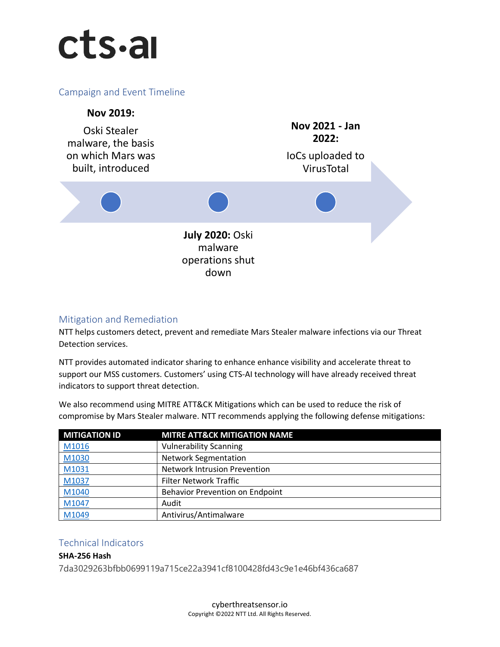## cts.al

#### Campaign and Event Timeline



#### Mitigation and Remediation

NTT helps customers detect, prevent and remediate Mars Stealer malware infections via our Threat Detection services.

NTT provides automated indicator sharing to enhance enhance visibility and accelerate threat to support our MSS customers. Customers' using CTS-AI technology will have already received threat indicators to support threat detection.

We also recommend using MITRE ATT&CK Mitigations which can be used to reduce the risk of compromise by Mars Stealer malware. NTT recommends applying the following defense mitigations:

| <b>MITIGATION ID</b> | <b>MITRE ATT&amp;CK MITIGATION NAME</b> |
|----------------------|-----------------------------------------|
| M1016                | <b>Vulnerability Scanning</b>           |
| M1030                | <b>Network Segmentation</b>             |
| M1031                | <b>Network Intrusion Prevention</b>     |
| M1037                | Filter Network Traffic                  |
| M1040                | <b>Behavior Prevention on Endpoint</b>  |
| M1047                | Audit                                   |
| M1049                | Antivirus/Antimalware                   |

#### Technical Indicators

**SHA-256 Hash** 7da3029263bfbb0699119a715ce22a3941cf8100428fd43c9e1e46bf436ca687